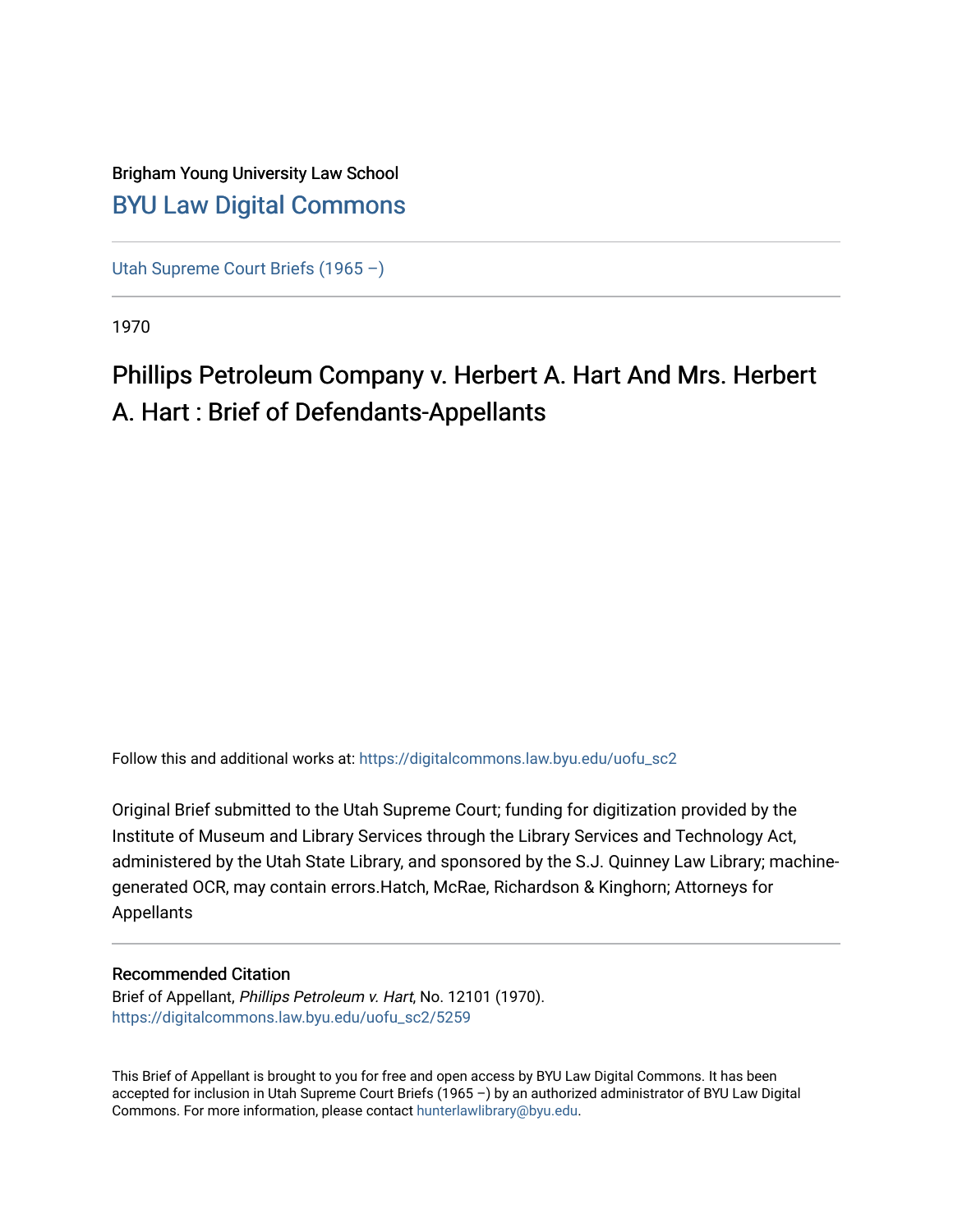### Brigham Young University Law School [BYU Law Digital Commons](https://digitalcommons.law.byu.edu/)

[Utah Supreme Court Briefs \(1965 –\)](https://digitalcommons.law.byu.edu/uofu_sc2)

1970

# Phillips Petroleum Company v. Herbert A. Hart And Mrs. Herbert A. Hart : Brief of Defendants-Appellants

Follow this and additional works at: [https://digitalcommons.law.byu.edu/uofu\\_sc2](https://digitalcommons.law.byu.edu/uofu_sc2?utm_source=digitalcommons.law.byu.edu%2Fuofu_sc2%2F5259&utm_medium=PDF&utm_campaign=PDFCoverPages)

Original Brief submitted to the Utah Supreme Court; funding for digitization provided by the Institute of Museum and Library Services through the Library Services and Technology Act, administered by the Utah State Library, and sponsored by the S.J. Quinney Law Library; machinegenerated OCR, may contain errors.Hatch, McRae, Richardson & Kinghorn; Attorneys for Appellants

### Recommended Citation

Brief of Appellant, Phillips Petroleum v. Hart, No. 12101 (1970). [https://digitalcommons.law.byu.edu/uofu\\_sc2/5259](https://digitalcommons.law.byu.edu/uofu_sc2/5259?utm_source=digitalcommons.law.byu.edu%2Fuofu_sc2%2F5259&utm_medium=PDF&utm_campaign=PDFCoverPages) 

This Brief of Appellant is brought to you for free and open access by BYU Law Digital Commons. It has been accepted for inclusion in Utah Supreme Court Briefs (1965 –) by an authorized administrator of BYU Law Digital Commons. For more information, please contact [hunterlawlibrary@byu.edu](mailto:hunterlawlibrary@byu.edu).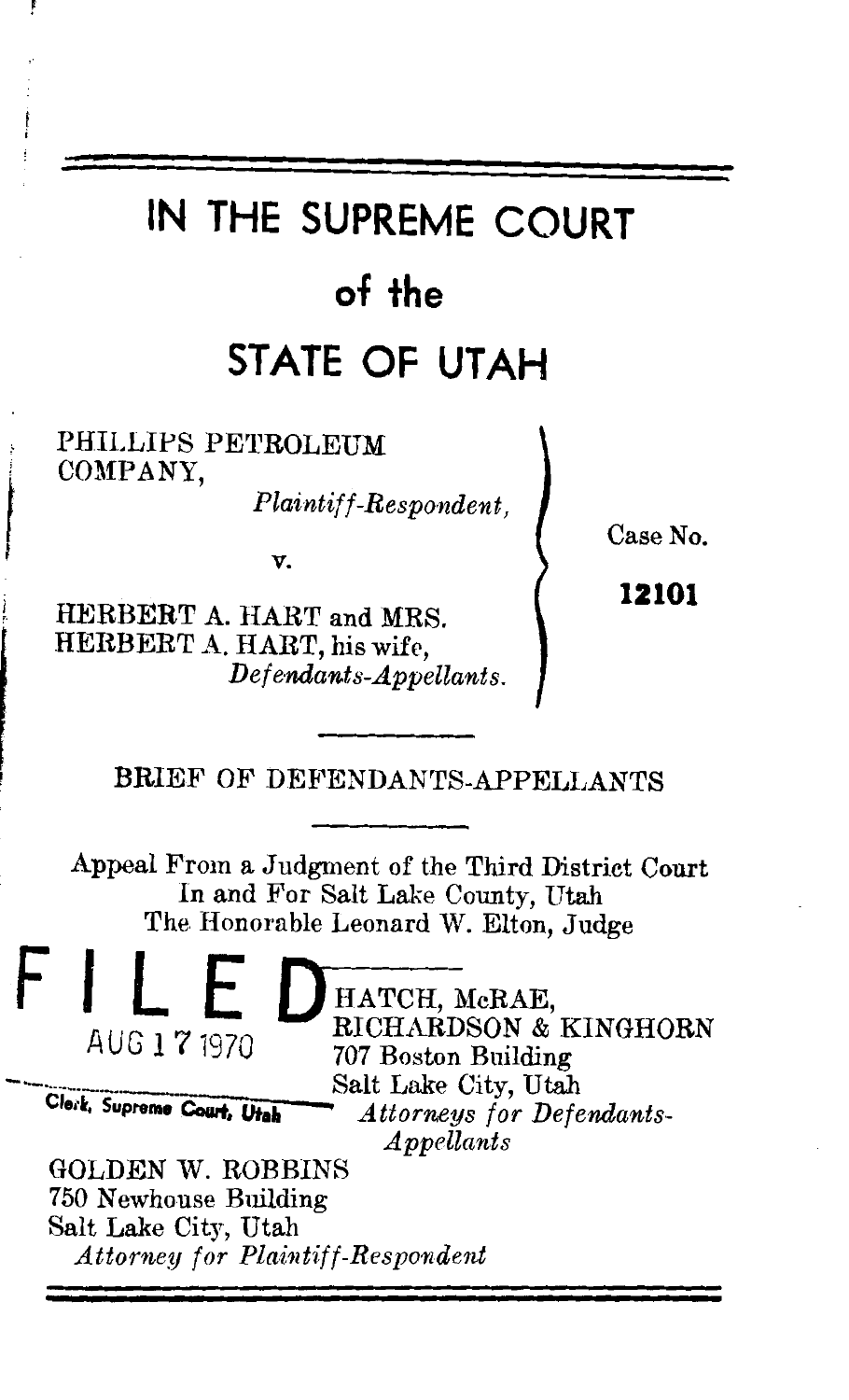# IN THE SUPREME COURT  $of the$ STATE OF UTAH

PHILLIPS PETROLEUM COMPANY.

Plaintiff-Respondent,

v.

HERBERT A. HART and MRS. HERBERT A. HART, his wife. Defendants-Appellants. Case No.

12101

BRIEF OF DEFENDANTS-APPELLANTS

Appeal From a Judgment of the Third District Court In and For Salt Lake County, Utah The Honorable Leonard W. Elton, Judge

> HATCH, McRAE, RICHARDSON & KINGHORN 707 Boston Building Salt Lake City, Utah **Attorneys for Defendants-** $Appellants$

**GOLDEN W. ROBBINS** 750 Newhouse Building Salt Lake City, Utah **Attorney for Plaintiff-Respondent** 

AUG 1 7 1970

Clerk, Supreme Court, Utah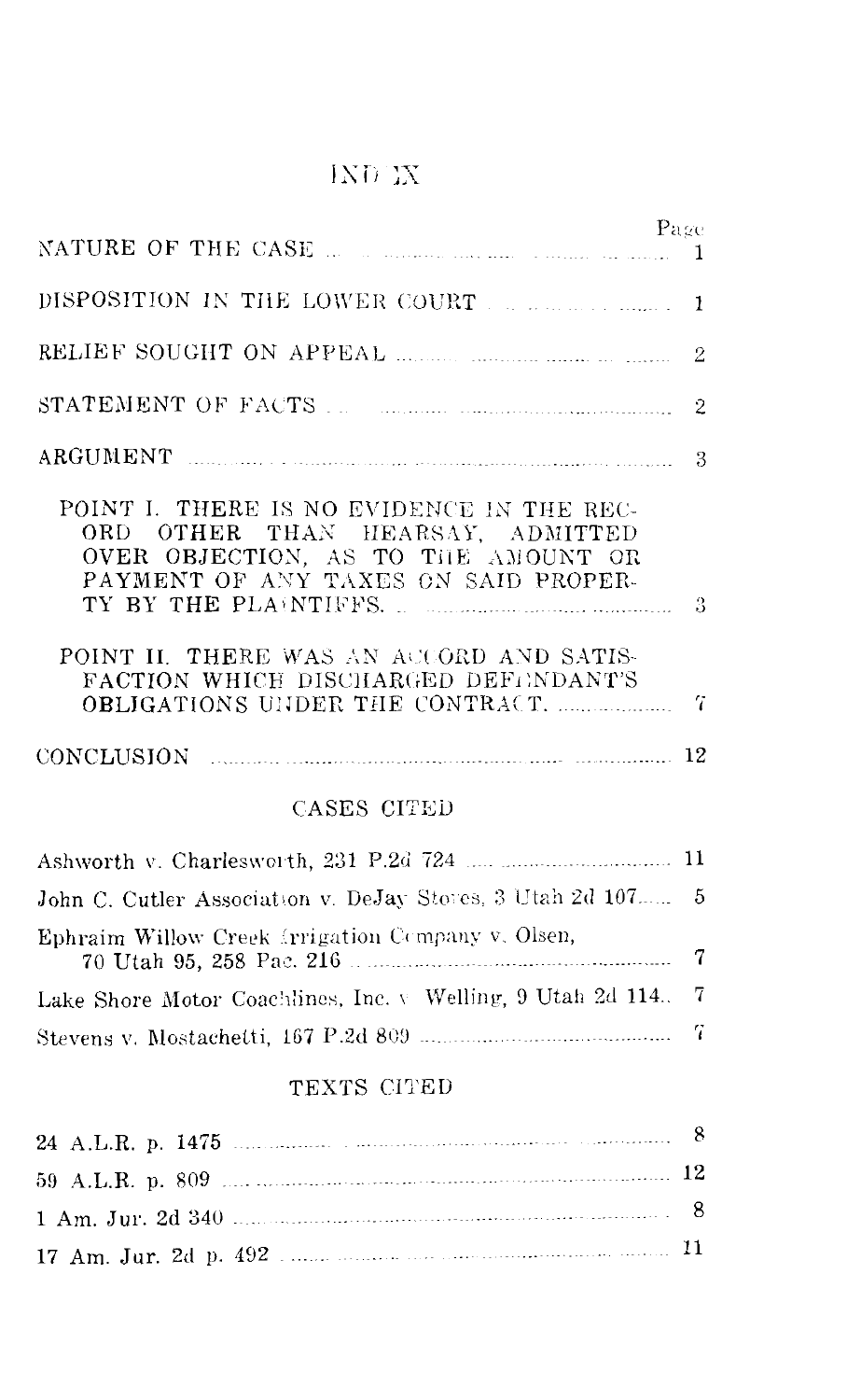### $\overline{\text{IND}}$  IX

|                                                                                                                                                                                                                                                  | Page        |
|--------------------------------------------------------------------------------------------------------------------------------------------------------------------------------------------------------------------------------------------------|-------------|
|                                                                                                                                                                                                                                                  | -1          |
| RELIEF SOUGHT ON APPEAL <b>Example 2018</b> 2020 2021                                                                                                                                                                                            | $\bar{2}$   |
| STATEMENT OF FACTS <b>Manual</b> Manual 2                                                                                                                                                                                                        |             |
| ARGUMENT 3                                                                                                                                                                                                                                       |             |
| POINT I. THERE IS NO EVIDENCE IN THE REC-<br>ORD OTHER THAN HEARSAY, ADMITTED<br>OVER OBJECTION, AS TO THE AMOUNT OR<br>PAYMENT OF ANY TAXES ON SAID PROPER-<br>POINT II. THERE WAS AN ACCORD AND SATIS-<br>FACTION WHICH DISCHARGED DEFENDANT'S |             |
| CONCLUSION 12                                                                                                                                                                                                                                    |             |
| CASES CITED                                                                                                                                                                                                                                      |             |
|                                                                                                                                                                                                                                                  |             |
| John C. Cutler Association v. DeJay Stores, 3 Utah 2d 107 5                                                                                                                                                                                      |             |
| Ephraim Willow Creek Irrigation Company v. Olsen,                                                                                                                                                                                                | $\mathbf 7$ |
| Lake Shore Motor Coachlines, Inc. v Welling, 9 Utah 2d 114.                                                                                                                                                                                      | 7           |
|                                                                                                                                                                                                                                                  | -7          |
| TEXTS CITED                                                                                                                                                                                                                                      |             |
|                                                                                                                                                                                                                                                  |             |
| 12<br>59 ALR n 809                                                                                                                                                                                                                               |             |

| $0.0$ $\Lambda$ , $\mu$ , $\mu$ , $\mu$ , $\mu$ , $\sigma$ |    |
|------------------------------------------------------------|----|
|                                                            | -8 |
|                                                            |    |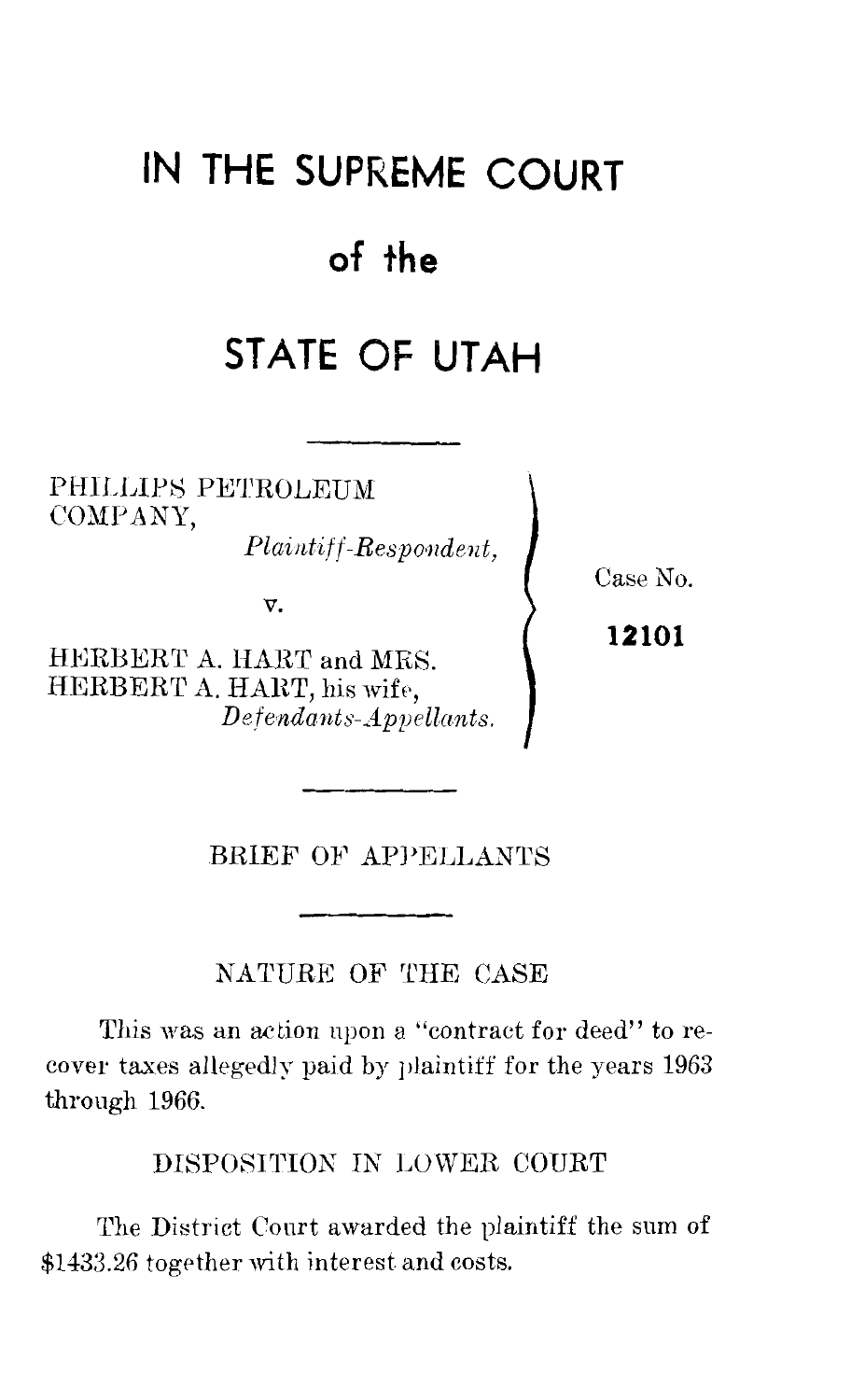# **IN THE SUPREME COURT**

## **of the**

# **STATE OF UTAH**

PHILLIPS PETROLEUM COMPANY,

*Plaintiff-Respo·ndent,* 

v.

HERBERT A. HART and MRS. HERBERT A. HART, his wife, *Defendants-Appellants.*  Case No.

**12101** 

BRIEF OF APPELLANTS

NATURE OF THE CASE

This was an action upon a "contract for deed" to recover taxes allegedly paid by plaintiff for the years 1963 through 1966.

DISPOSITION IN LOWER COURT

The District Court awarded the plaintiff the sum of \$1433.26 together with interest and costs.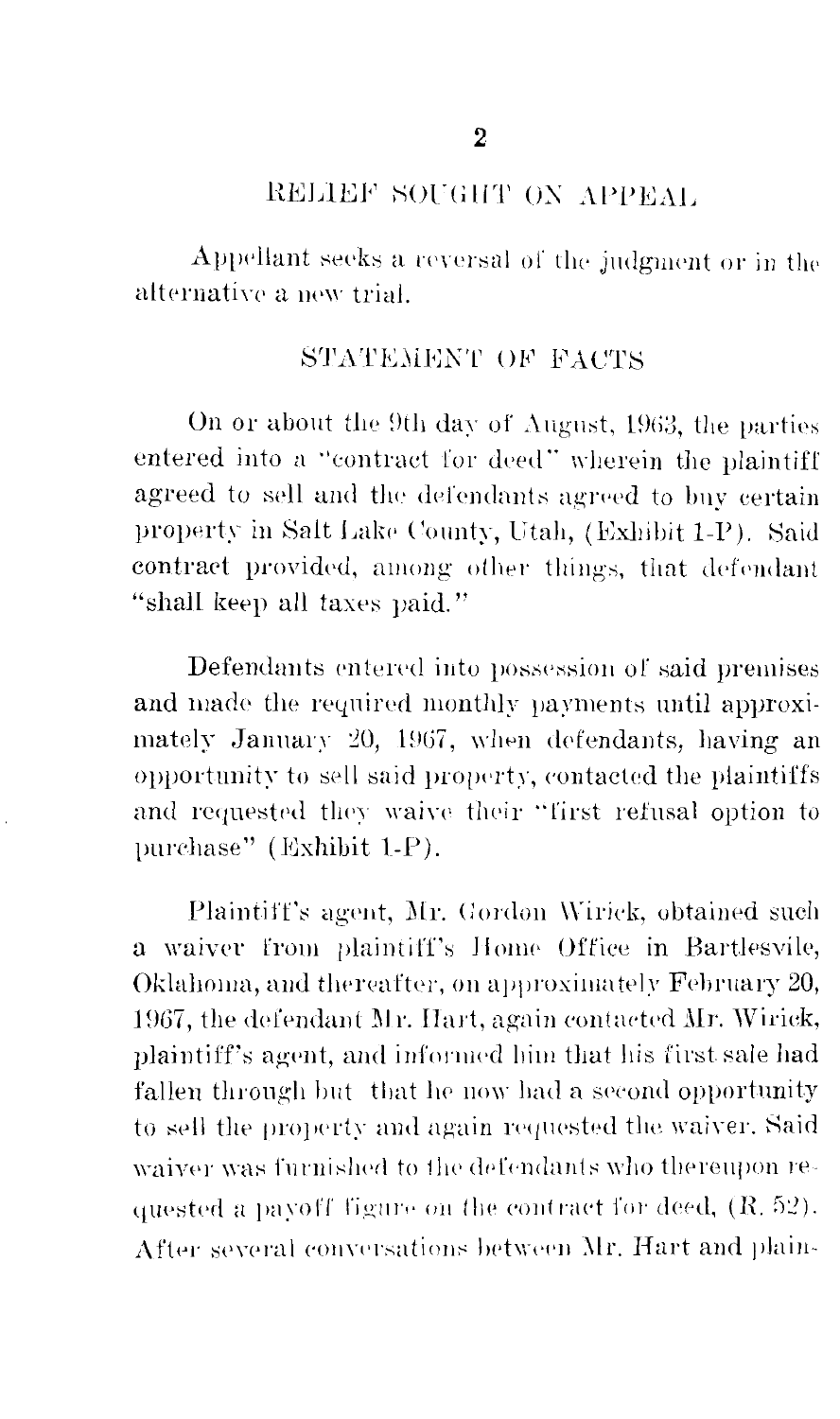#### RELIEF SOUGHT ON APPEAL

Appellant seeks a reversal of the judgment or in the alternative a new trial.

### STATEMENT OF FACTS

On or about the 9th day of August, 1963, the parties entered into a "contract for deed" wherein the plaintiff agreed to sell and the defendants agreed to buy certain property in Salt Lake County, Utah, (Exhibit 1-P). Said contract provided, among other things, that defendant "shall keep all taxes paid."

Defendants entered into possession of said premises and made the required monthly payments until approximately January 20, 1967, when defendants, having an opportunity to sell said property, contacted the plaintiffs and requested they waive their "first refusal option to purchase" (Exhibit 1-P).

Plaintiff's agent, Mr. Gordon Wirick, obtained such a waiver from plaintiff's Home Office in Bartlesvile, Oklahoma, and thereafter, on approximately February 20, 1967, the defendant Mr. Hart, again contacted Mr. Wirick, plaintiff's agent, and informed him that his first sale had fallen through but that he now had a second opportunity to sell the property and again requested the waiver. Said waiver was furnished to the defendants who thereupon requested a payoff figure on the contract for deed, (R. 52). After several conversations between Mr. Hart and plain-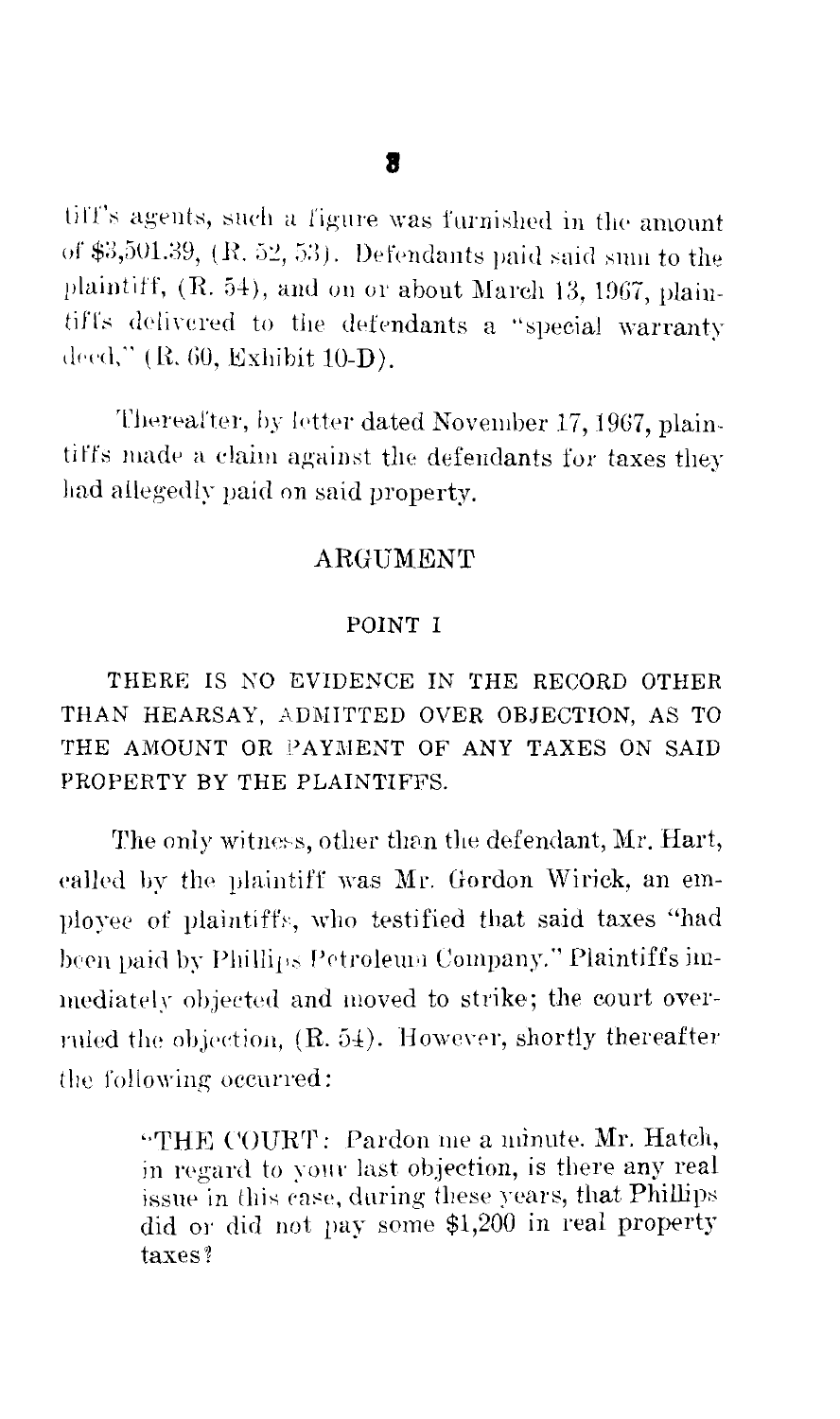tiff's agents, such a figure was furnished in the amount of  $$3,501.39$ ,  $(R. 52, 53)$ . Defendants paid said sum to the plaintiff, (R. 54), and on or about March 13, 1967, plaintiffs delivered to the defendants a "special warranty deed," (R. 60, Exhibit 10-D).

Thereafter, by letter dated November 17, 1967, plaintiffs made a claim against the defendants for taxes they had allegedly paid on said property.

#### ARGUMENT

#### POINT I

THERE IS NO EVIDENCE IN THE RECORD OTHER THAN HEARSAY, ADMITTED OVER OBJECTION, AS TO THE AMOUNT OR PAYMENT OF ANY TAXES ON SAID PROPERTY BY THE PLAINTIFFS.

The only witness, other than the defendant, Mr. Hart, ealled by the plaintiff was Mr. Gordon Wirick, an employee of plaintiffs, who testified that said taxes "had been paid by Phillips Petroleum Company." Plaintiffs immediately objected and moved to strike; the court overruled the objection, (R. 54). However, shortly thereafter the following occurred:

> "THE COURT: Pardon me a minute. Mr. Hatch, in regard to your last objection, is there any real issue in this case, during these years, that Phillips did or did not pay some \$1,200 in real property taxes?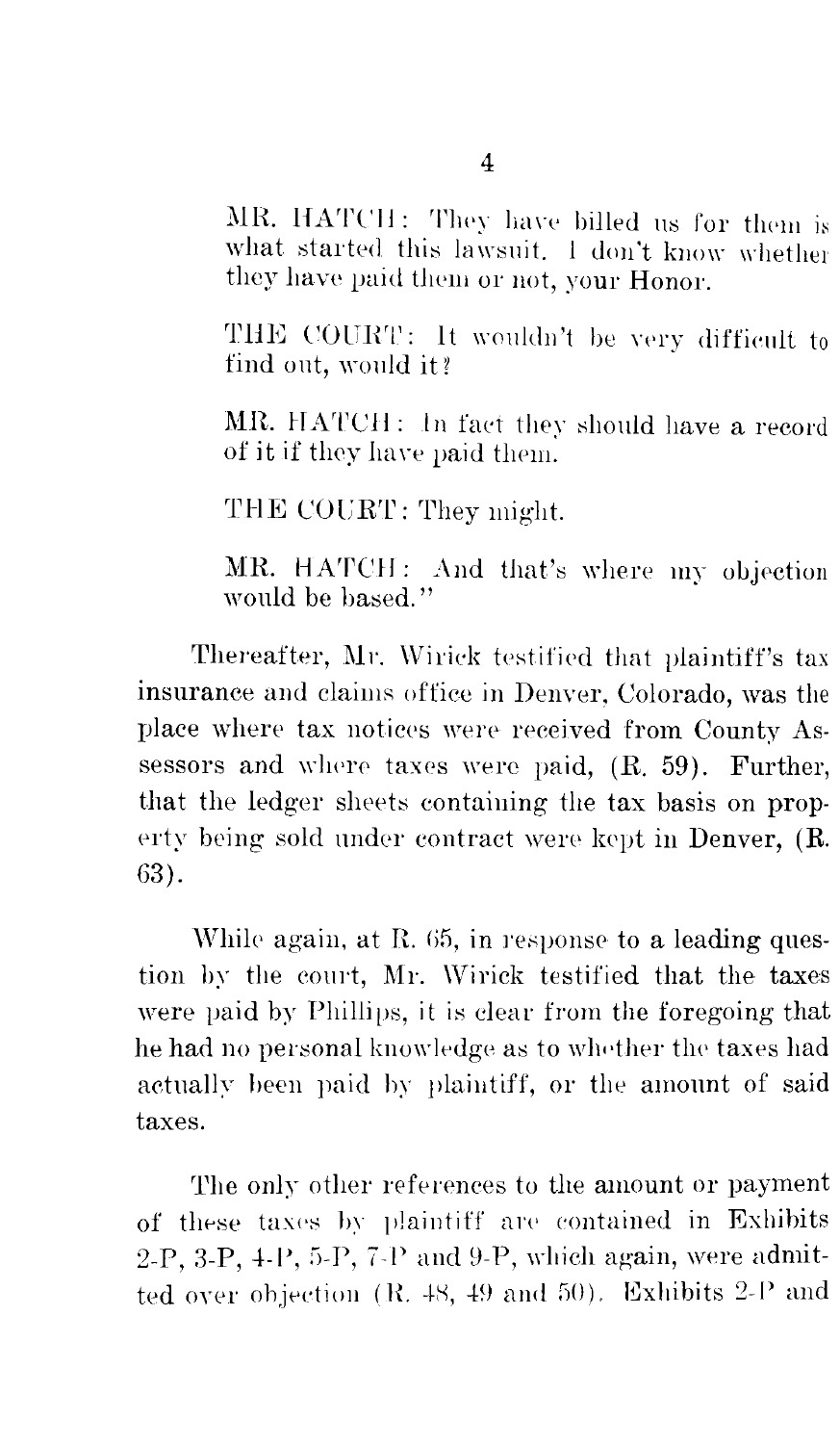MR. HATCH: They have billed us for them is what started this lawsuit. I don't know whether they have paid them or not, your Honor.

THE COURT: It wouldn't be very difficult to find out, would it?

MR. HATCH: In fact they should have a record of it if they have paid them.

THE COURT: They might.

MR. HATCH: And that's where my objection would be based."

Thereafter, Mr. Wirick testified that plaintiff's tax insurance and claims office in Denver, Colorado, was the place where tax notices were received from County Assessors and where taxes were paid, (R. 59). Further, that the ledger sheets containing the tax basis on property being sold under contract were kept in Denver, (R. 63).

While again, at R. 65, in response to a leading question by the court, Mr. Wirick testified that the taxes were paid by Phillips, it is clear from the foregoing that he had no personal knowledge as to whether the taxes had actually been paid by plaintiff, or the amount of said taxes.

The only other references to the amount or payment of these taxes by plaintiff are contained in Exhibits 2-P, 3-P, 4-P, 5-P, 7-P and 9-P, which again, were admitted over objection (R. 48, 49 and 50). Exhibits 2-P and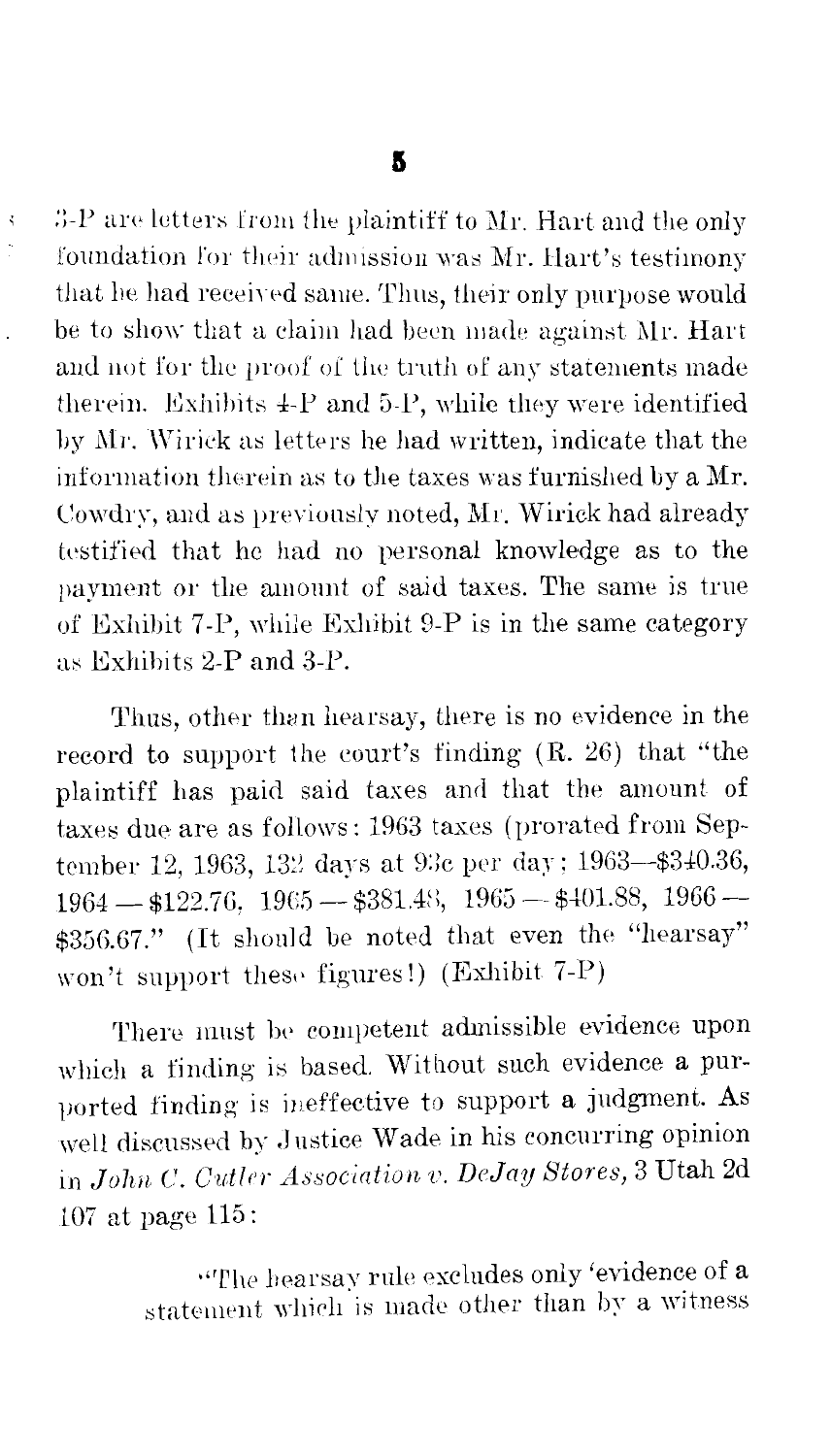š,

3-P are letters from the plaintiff to Mr. Hart and the only foundation for their admission was Mr. Hart's testimony that he had received same. Thus, their only purpose would be to show that a claim had been made against Mr. Hart and not for the proof of the truth of any statements made therein. Exhibits 4-P and 5-P, while they were identified by Mr. Wirick as letters he had written, indicate that the information therein as to the taxes was furnished by a Mr. Cowdry, and as previously noted, Mr. Wirick had already testified that he had no personal knowledge as to the payment or the amount of said taxes. The same is true of Exhibit 7-P, while Exhibit 9-P is in the same category as Exhibits 2-P and 3-P.

Thus, other than hearsay, there is no evidence in the record to support the court's finding  $(R. 26)$  that "the plaintiff has paid said taxes and that the amount of taxes due are as follows: 1963 taxes (prorated from September 12, 1963, 132 days at 93c per day; 1963-\$340.36,  $1964 - 122.76$ ,  $1965 - 381.48$ ,  $1965 - 1401.88$ ,  $1966 -$ \$356.67." (It should be noted that even the "hearsay" won't support these figures!) (Exhibit 7-P)

There must be competent admissible evidence upon which a finding is based. Without such evidence a purported finding is ineffective to support a judgment. As well discussed by Justice Wade in his concurring opinion in John C. Cutler Association v. DeJay Stores, 3 Utah 2d 107 at page 115:

> "The hearsay rule excludes only 'evidence of a statement which is made other than by a witness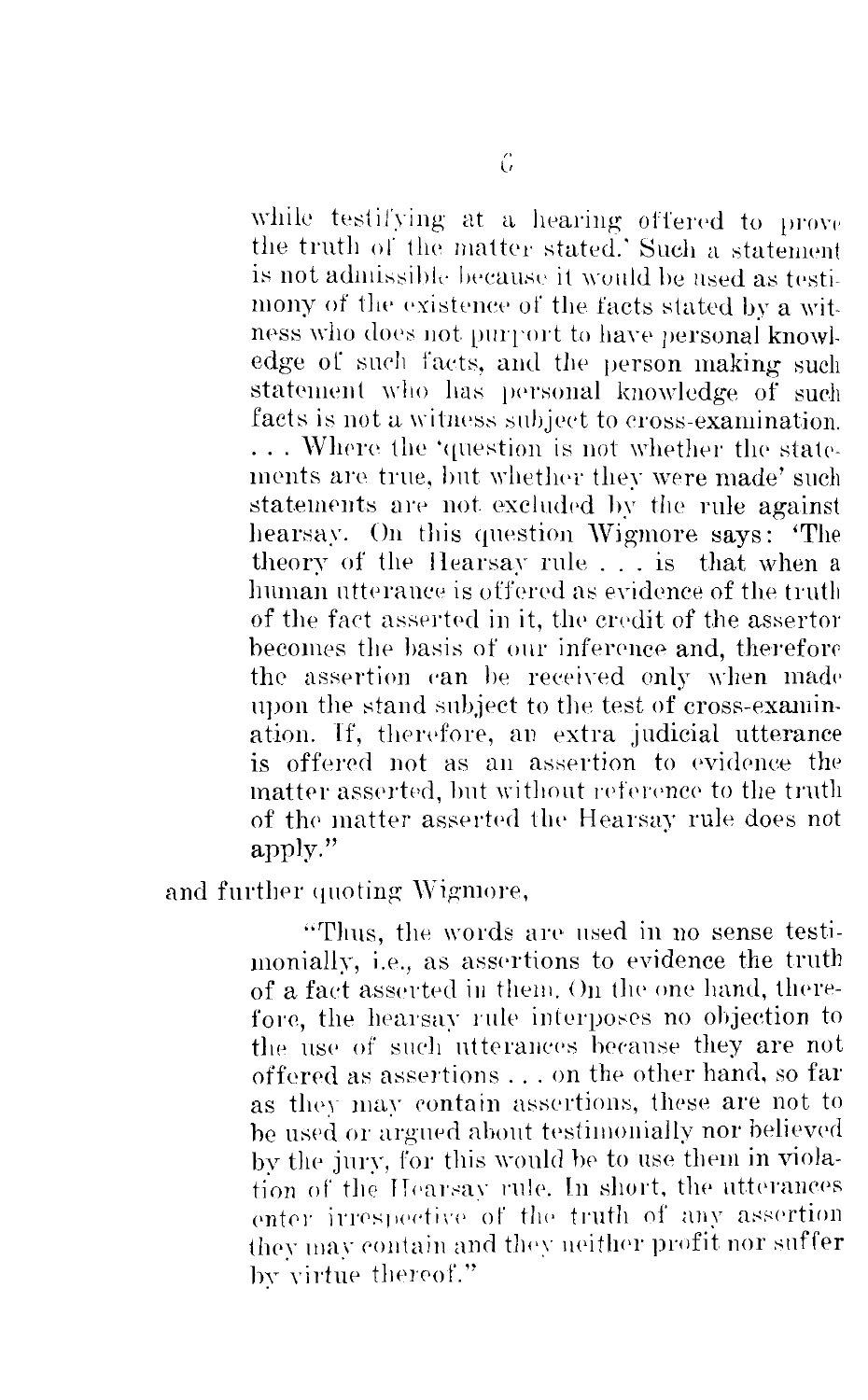while testifying at a hearing offered to prove the truth of the matter stated.' Such a statement is not admissible because it would be used as testimony of the existence of the facts stated by a witness who does not purport to have personal knowledge of such facts, and the person making such statement who has personal knowledge of such facts is not a witness subject to cross-examination. ... Where the 'question is not whether the statements are true, but whether they were made' such statements are not excluded by the rule against hearsay. On this question Wigmore says: The theory of the Hearsay rule... is that when a human utterance is offered as evidence of the truth of the fact asserted in it, the credit of the assertor becomes the basis of our inference and, therefore the assertion can be received only when made upon the stand subject to the test of cross-examination. If, therefore, an extra judicial utterance is offered not as an assertion to evidence the matter asserted, but without reference to the truth of the matter asserted the Hearsay rule does not apply."

and further quoting Wigmore,

"Thus, the words are used in no sense testimonially, i.e., as assertions to evidence the truth of a fact asserted in them. On the one hand, therefore, the hearsay rule interposes no objection to the use of such utterances because they are not offered as assertions . . . on the other hand, so far as they may contain assertions, these are not to be used or argued about testimonially nor believed by the jury, for this would be to use them in violation of the Hearsay rule. In short, the utterances enter irrespective of the truth of any assertion they may contain and they neither profit nor suffer by virtue thereof."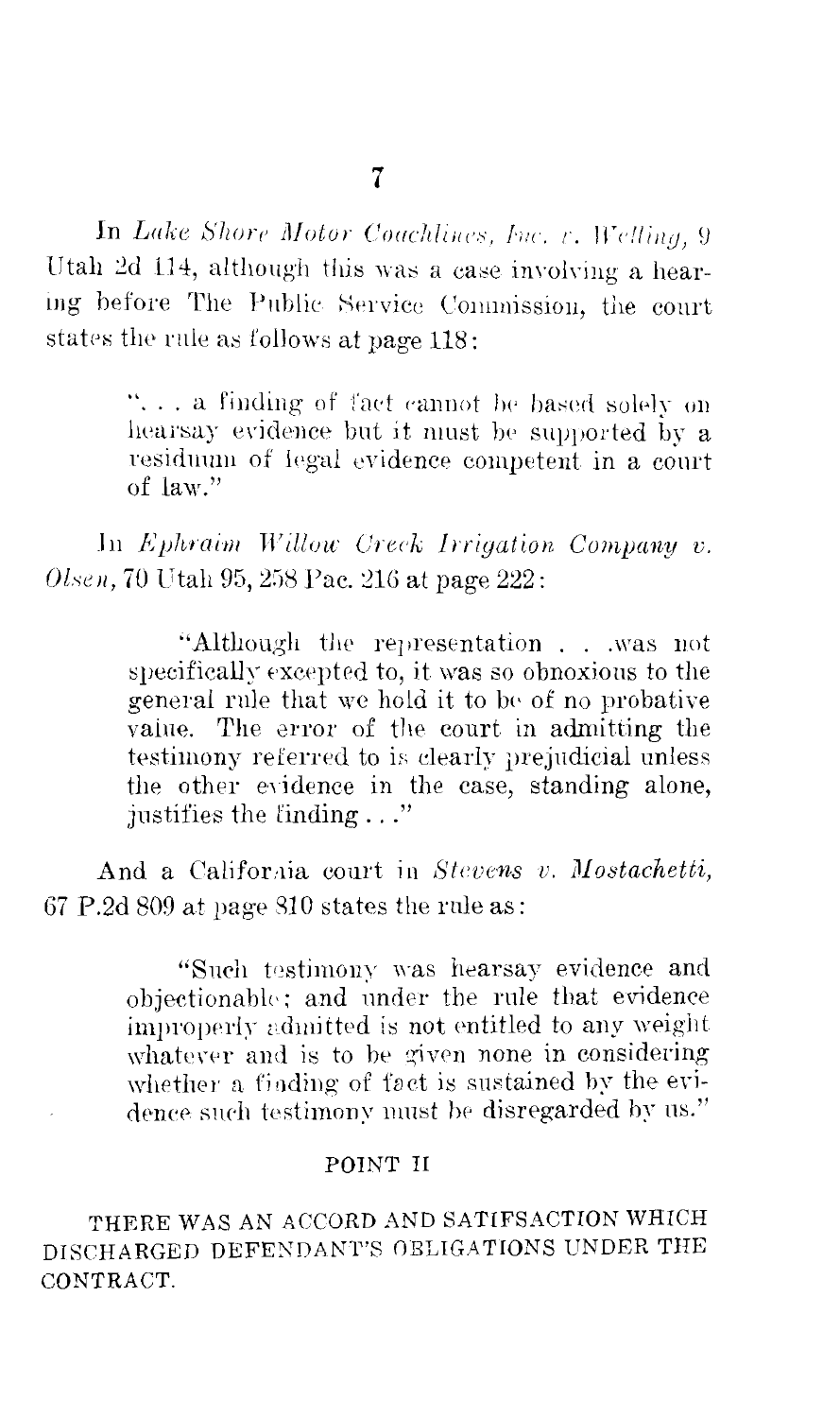In Lake Shore Motor Coachlines, Inc. v. Welling, 9 Utah 2d 114, although this was a case involving a hearing before The Public Service Commission, the court states the rule as follows at page 118:

> "... a finding of fact cannot be based solely on hearsay evidence but it must be supported by a residuum of legal evidence connetent in a court of law."

In Ephraim Willow Creek Irrigation Company v. Olsen, 70 Utah 95, 258 Pac. 216 at page 222:

> "Although the representation . . . was not specifically excepted to, it was so obnoxious to the general rule that we hold it to be of no probative value. The error of the court in admitting the testimony referred to is clearly prejudicial unless the other evidence in the case, standing alone, justifies the finding..."

And a California court in Stevens v. Mostachetti, 67 P.2d 809 at page 810 states the rule as:

> "Such testimony was hearsay evidence and objectionable: and under the rule that evidence improperly admitted is not entitled to any weight whatever and is to be given none in considering whether a finding of fact is sustained by the evidence such testimony must be disregarded by us."

#### POINT II

THERE WAS AN ACCORD AND SATIFSACTION WHICH DISCHARGED DEFENDANT'S OBLIGATIONS UNDER THE CONTRACT.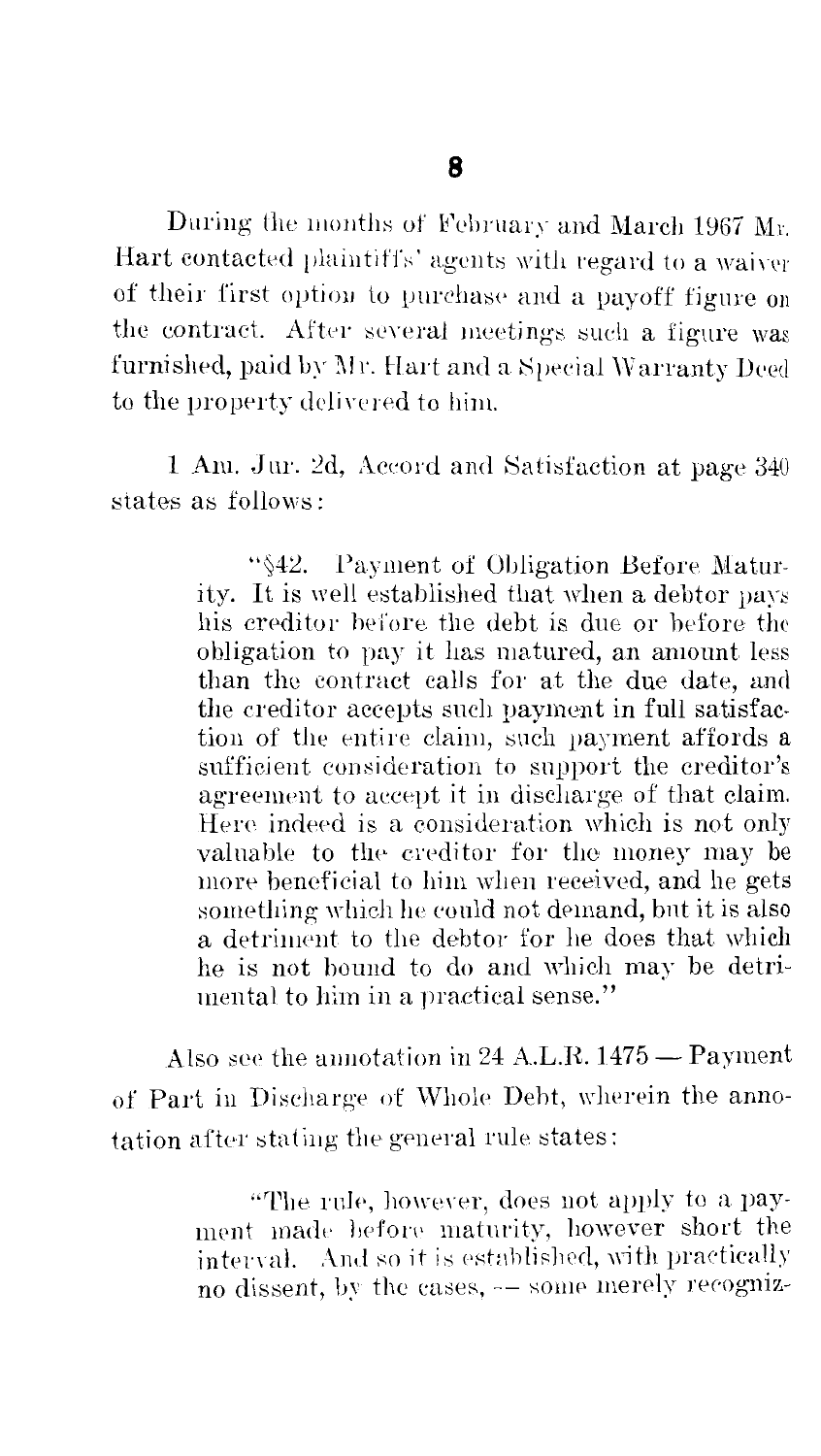During the months of February and March 1967 Mr. Hart contacted plaintiffs' agents with regard to a waiver of their first option to purchase and a payoff figure on the contract. After several meetings such a figure was furnished, paid by Mr. Hart and a Special Warranty Deed to the property delivered to him.

1 Am. Jur. 2d, Accord and Satisfaction at page 340 states as follows:

> "\\$42. Payment of Obligation Before Maturity. It is well established that when a debtor pays his creditor before the debt is due or before the obligation to pay it has matured, an amount less than the contract calls for at the due date, and the creditor accepts such payment in full satisfaction of the entire claim, such payment affords a sufficient consideration to support the creditor's agreement to accept it in discharge of that claim. Here indeed is a consideration which is not only valuable to the creditor for the money may be more beneficial to him when received, and he gets something which he eould not demand, bnt it is also a detriment to the debtor for he does that which he is not bound to do and which may be detrimental to him in a practical sense."

Also see the annotation in 24 A.L.R.  $1475 -$  Payment of Part in Discharge of Whole Debt, wherein the annotation after stating the general rule states:

> "The rule, however, does not apply to a payment made before maturity, however short the interval. And so it is established, with practically no dissent, by the cases, -- some merely recogniz-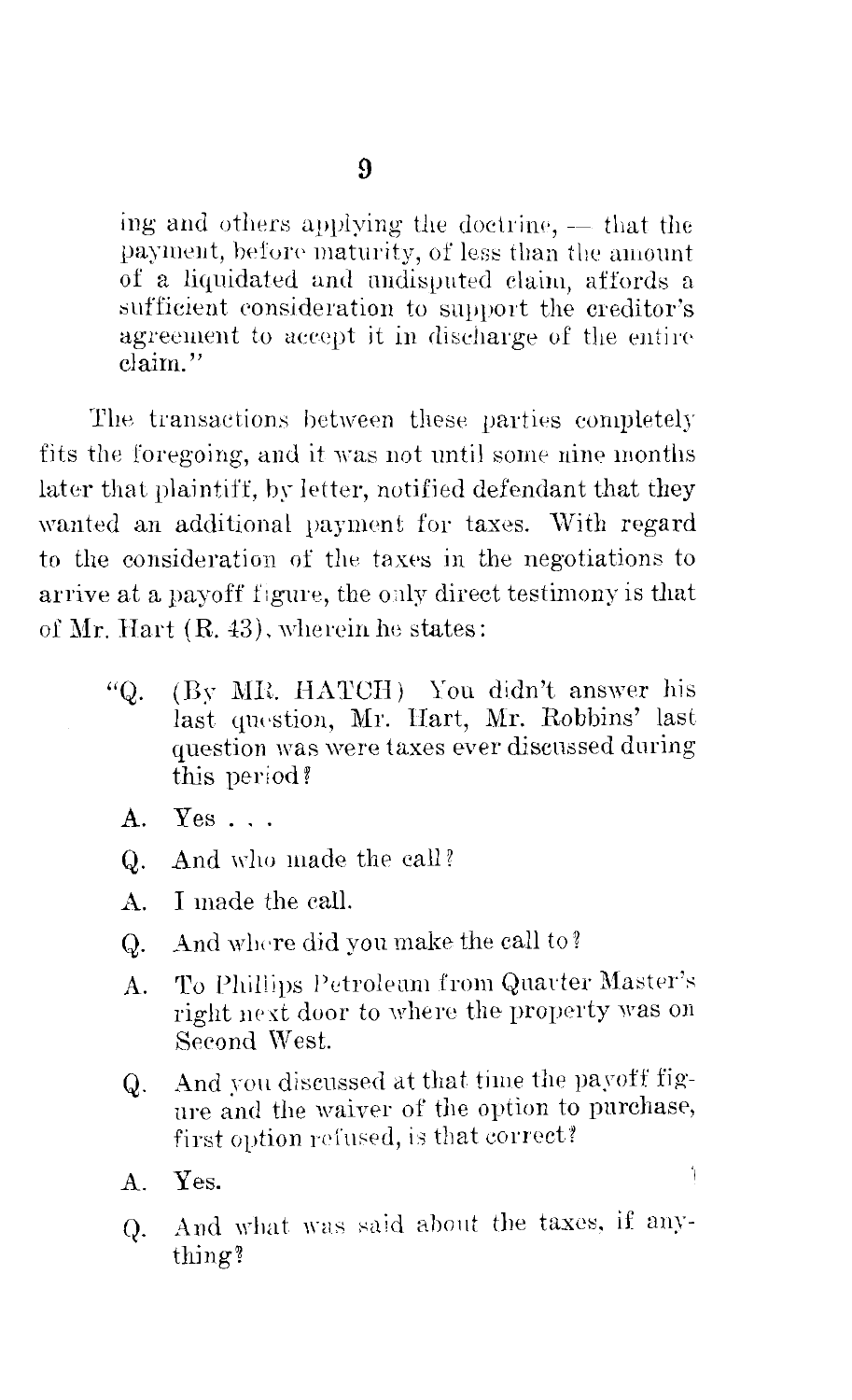ing and others applying the doctrine, - that the payment, before maturity, of less than the amount of a liquidated and undisputed claim, affords a sufficient consideration to support the creditor's agreement to accept it in discharge of the entire claim"

The transactions between these parties completely fits the foregoing, and it was not until some nine months later that plaintiff, by letter, notified defendant that they wanted an additional payment for taxes. With regard to the consideration of the taxes in the negotiations to arrive at a payoff figure, the only direct testimony is that of Mr. Hart (R. 43), wherein he states:

- "Q. (By MR. HATCH) You didn't answer his last question, Mr. Hart, Mr. Robbins' last question was were taxes ever discussed during this period?
	- $Yes \dots$  $\mathbf{A}$ .
	- And who made the call?  $Q$ .
	- $A<sub>1</sub>$ I made the call.
	- And where did you make the call to? Q.
	- To Phillips Petroleum from Quarter Master's A. right next door to where the property was on Second West.
	- And you discussed at that time the payoff fig-Q. ure and the waiver of the option to purchase, first option refused, is that correct?

1

And what was said about the taxes, if any- $Q_{\cdot}$ thing?

Yes. Α.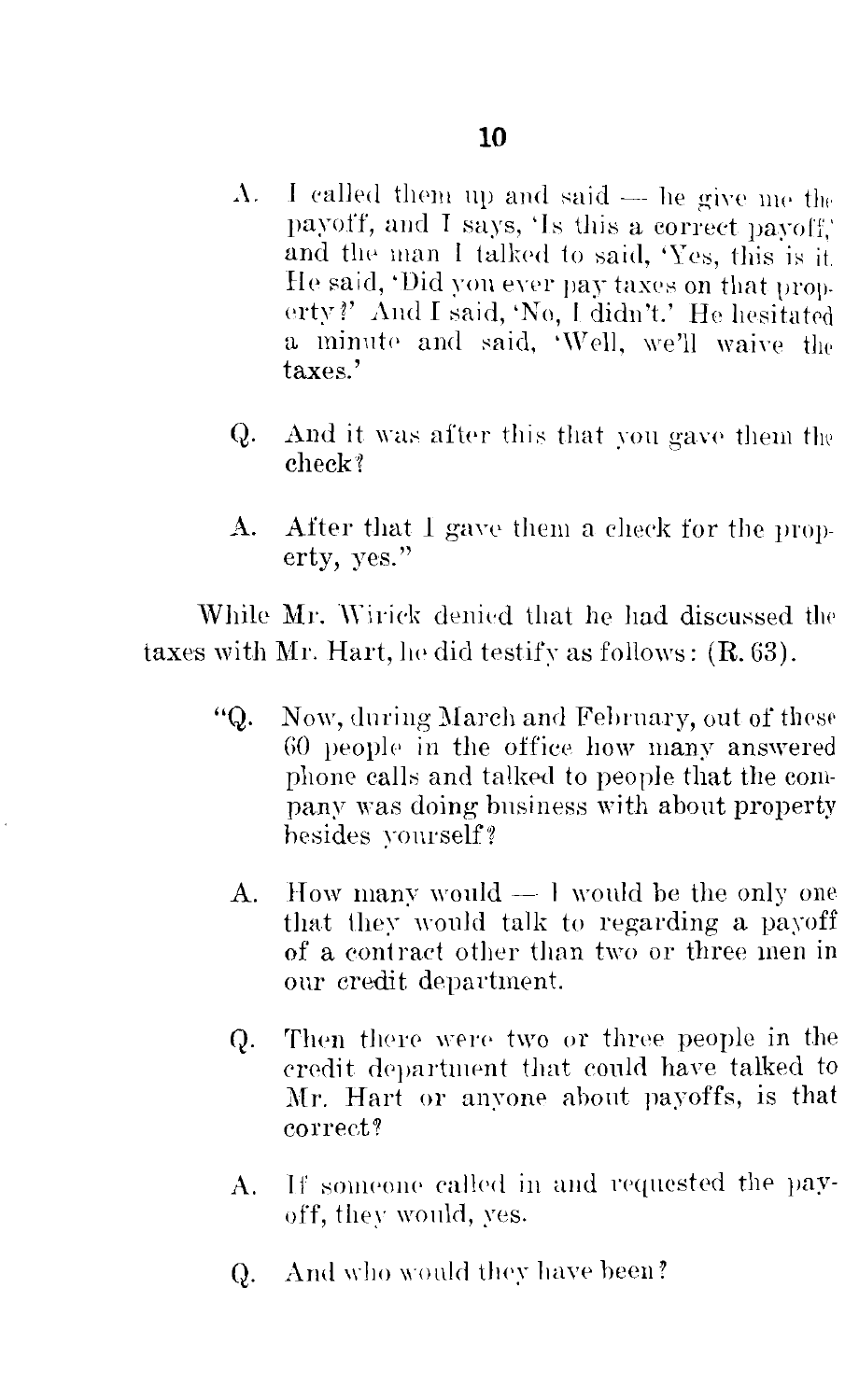- I called them up and said -- he give me the  $\Lambda$ . payoff, and I says, 'Is this a correct payoff.' and the man I talked to said, 'Yes, this is it. He said, 'Did you ever pay taxes on that property?' And I said, 'No, I didn't.' He hesitated a minute and said, Well, we'll waive the taxes'
- Q. And it was after this that you gave them the check?
- After that I gave them a check for the prop-A. erty, yes."

While Mr. Wirick denied that he had discussed the taxes with Mr. Hart, he did testify as follows:  $(R. 63)$ .

- "Q. Now, during March and February, out of these 60 people in the office how many answered phone calls and talked to people that the company was doing business with about property hesides vourself?
	- How many would  $-1$  would be the only one A. that they would talk to regarding a payoff of a contract other than two or three men in our credit department.
	- Then there were two or three people in the Q. credit department that could have talked to Mr. Hart or anyone about payoffs, is that correct?
	- If someone called in and requested the pay-A. off, they would, yes.
	- And who would they have been? Q.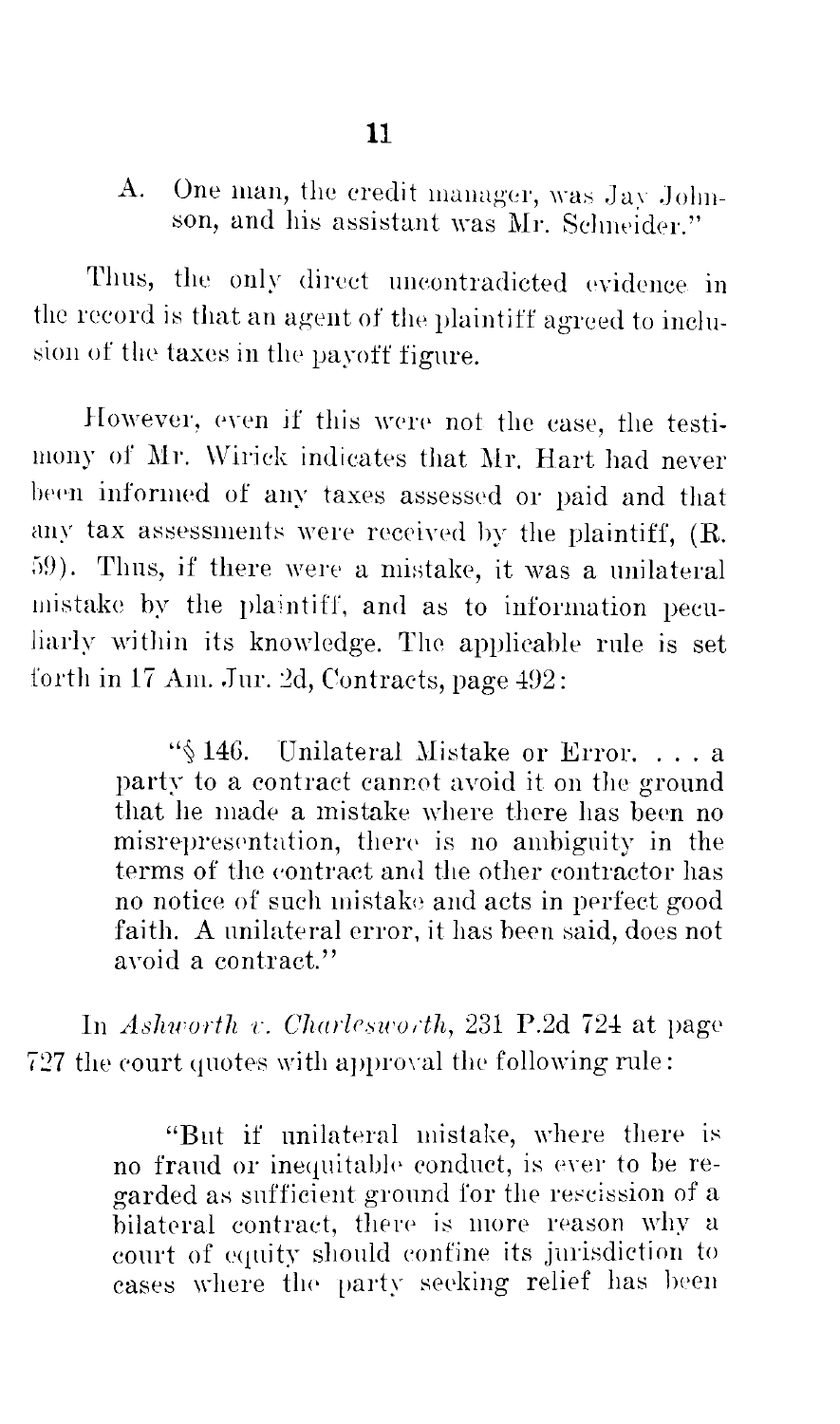One man, the credit manager, was Jay John- $A<sub>1</sub>$ son, and his assistant was Mr. Schneider."

Thus, the only direct uncontradicted evidence in the record is that an agent of the plaintiff agreed to inclusion of the taxes in the payoff figure.

However, even if this were not the case, the testimony of Mr. Wirick indicates that Mr. Hart had never been informed of any taxes assessed or paid and that any tax assessments were received by the plaintiff, (R. 59). Thus, if there were a mistake, it was a unilateral mistake by the plaintiff, and as to information peculiarly within its knowledge. The applicable rule is set forth in 17 Am. Jur. 2d. Contracts. page 492:

> "\\$146. Unilateral Mistake or Error....a party to a contract cannot avoid it on the ground that he made a mistake where there has been no misrepresentation, there is no ambiguity in the terms of the contract and the other contractor has no notice of such mistake and acts in perfect good faith. A unilateral error, it has been said, does not avoid a contract."

In Ashworth v. Charlesworth, 231 P.2d 724 at page 727 the court quotes with approval the following rule:

> "But if unilateral mistake, where there is no fraud or inequitable conduct, is ever to be regarded as sufficient ground for the rescission of a bilateral contract, there is more reason why a court of equity should confine its jurisdiction to cases where the party seeking relief has been